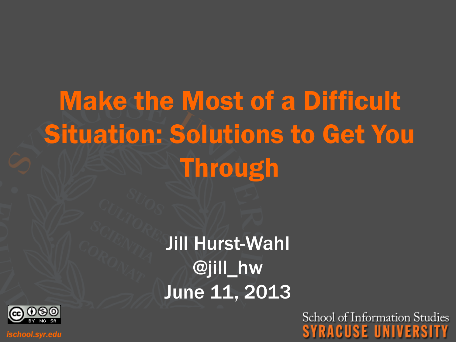# Make the Most of a Difficult Situation: Solutions to Get You **Through**

Jill Hurst-Wahl @jill\_hw June 11, 2013



ischool.syr.edu

School of Information Studies SYRACUSE UNIVERSITY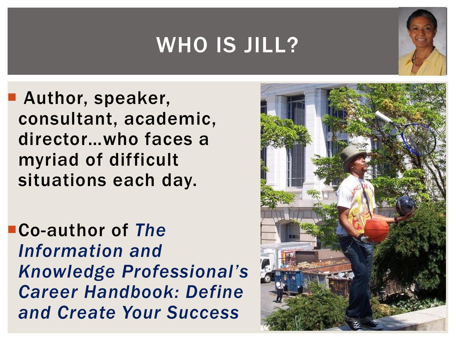### WHO IS JILL?



 Author, speaker, consultant, academic, director…who faces a myriad of difficult situations each day.

Co-author of *The Information and Knowledge Professional's Career Handbook: Define and Create Your Success*

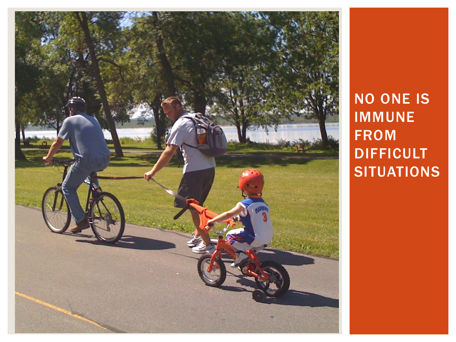

NO ONE IS IMMUNE FROM **DIFFICULT SITUATIONS**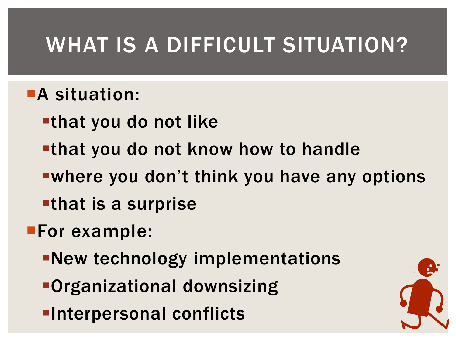## WHAT IS A DIFFICULT SITUATION?

#### **A situation:**

- that you do not like
- that you do not know how to handle
- where you don't think you have any options
- that is a surprise
- **For example:** 
	- New technology implementations
	- Organizational downsizing
	- **-Interpersonal conflicts**

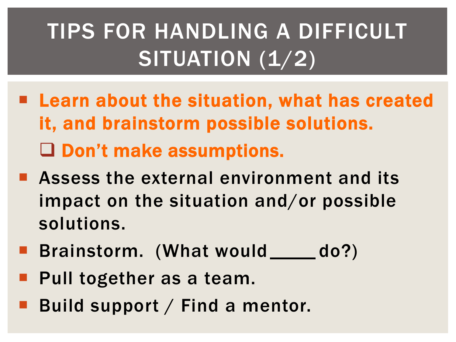# TIPS FOR HANDLING A DIFFICULT SITUATION (1/2)

- **E** Learn about the situation, what has created it, and brainstorm possible solutions. Don't make assumptions.
- **E** Assess the external environment and its impact on the situation and/or possible solutions.
- **Brainstorm. (What would \_\_\_\_\_ do?)**
- Pull together as a team.
- Build support / Find a mentor.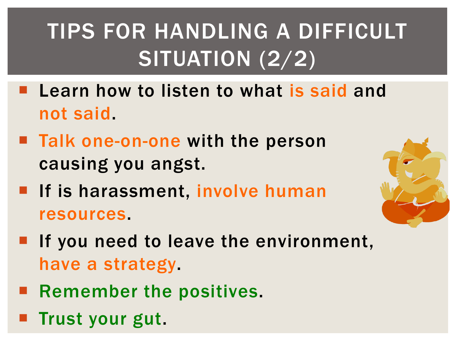# TIPS FOR HANDLING A DIFFICULT SITUATION (2/2)

- **Learn how to listen to what is said and** not said.
- Talk one-on-one with the person causing you angst.
- **If is harassment, involve human** resources.
- $\blacksquare$  If you need to leave the environment, have a strategy.
- **Remember the positives.**
- **Trust your gut.**

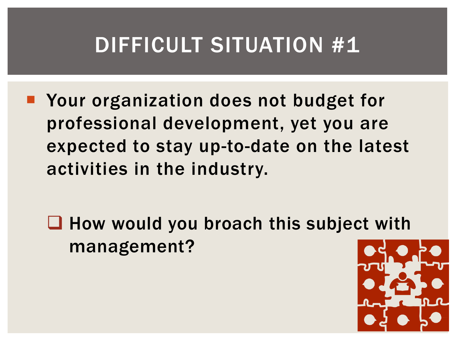**Nour organization does not budget for** professional development, yet you are expected to stay up-to-date on the latest activities in the industry.

 $\Box$  How would you broach this subject with management?

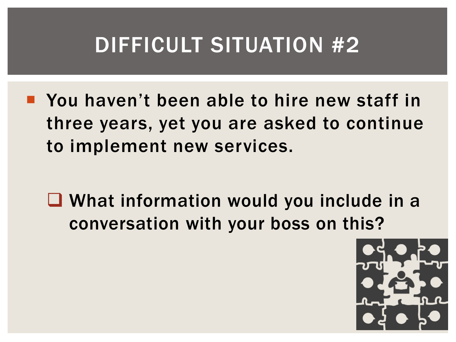- **P** You haven't been able to hire new staff in three years, yet you are asked to continue to implement new services.
	- **Q** What information would you include in a conversation with your boss on this?

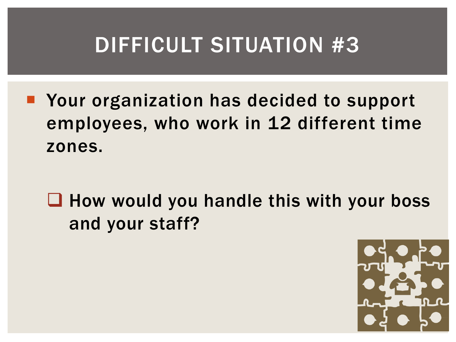■ Your organization has decided to support employees, who work in 12 different time zones.

 $\Box$  How would you handle this with your boss and your staff?

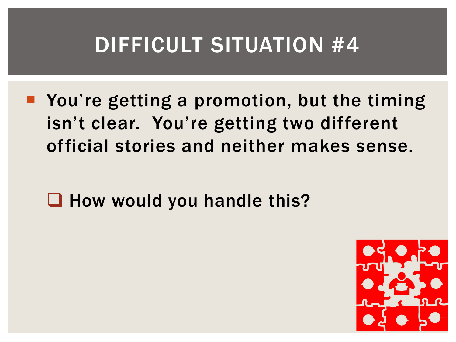**• You're getting a promotion, but the timing** isn't clear. You're getting two different official stories and neither makes sense.

 $\Box$  How would you handle this?